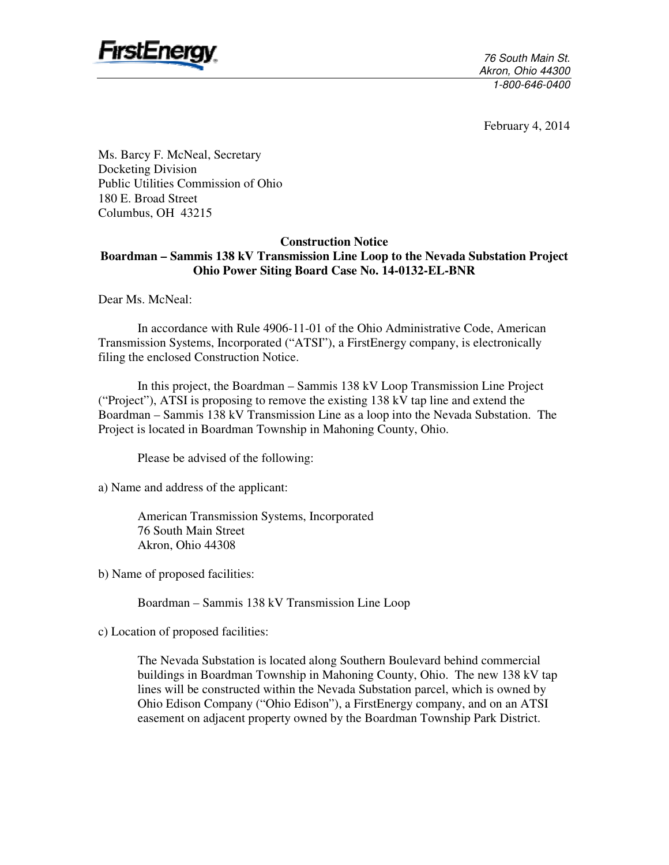

76 South Main St. Akron, Ohio 44300 1-800-646-0400

February 4, 2014

Ms. Barcy F. McNeal, Secretary Docketing Division Public Utilities Commission of Ohio 180 E. Broad Street Columbus, OH 43215

#### **Construction Notice**

## **Boardman – Sammis 138 kV Transmission Line Loop to the Nevada Substation Project Ohio Power Siting Board Case No. 14-0132-EL-BNR**

Dear Ms. McNeal:

In accordance with Rule 4906-11-01 of the Ohio Administrative Code, American Transmission Systems, Incorporated ("ATSI"), a FirstEnergy company, is electronically filing the enclosed Construction Notice.

In this project, the Boardman – Sammis 138 kV Loop Transmission Line Project ("Project"), ATSI is proposing to remove the existing 138 kV tap line and extend the Boardman – Sammis 138 kV Transmission Line as a loop into the Nevada Substation. The Project is located in Boardman Township in Mahoning County, Ohio.

Please be advised of the following:

a) Name and address of the applicant:

American Transmission Systems, Incorporated 76 South Main Street Akron, Ohio 44308

b) Name of proposed facilities:

Boardman – Sammis 138 kV Transmission Line Loop

c) Location of proposed facilities:

The Nevada Substation is located along Southern Boulevard behind commercial buildings in Boardman Township in Mahoning County, Ohio. The new 138 kV tap lines will be constructed within the Nevada Substation parcel, which is owned by Ohio Edison Company ("Ohio Edison"), a FirstEnergy company, and on an ATSI easement on adjacent property owned by the Boardman Township Park District.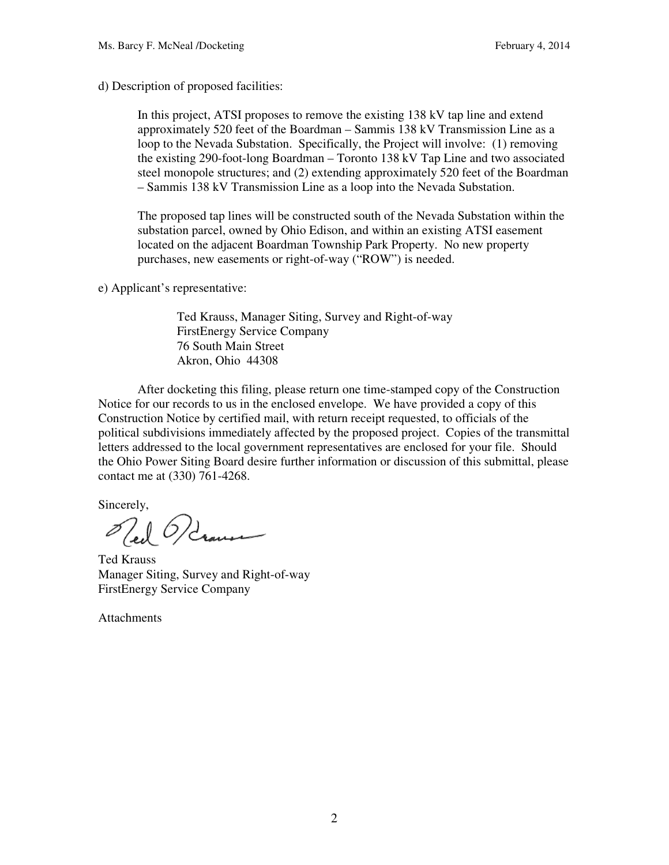d) Description of proposed facilities:

In this project, ATSI proposes to remove the existing 138 kV tap line and extend approximately 520 feet of the Boardman – Sammis 138 kV Transmission Line as a loop to the Nevada Substation. Specifically, the Project will involve: (1) removing the existing 290-foot-long Boardman – Toronto 138 kV Tap Line and two associated steel monopole structures; and (2) extending approximately 520 feet of the Boardman – Sammis 138 kV Transmission Line as a loop into the Nevada Substation.

The proposed tap lines will be constructed south of the Nevada Substation within the substation parcel, owned by Ohio Edison, and within an existing ATSI easement located on the adjacent Boardman Township Park Property. No new property purchases, new easements or right-of-way ("ROW") is needed.

e) Applicant's representative:

Ted Krauss, Manager Siting, Survey and Right-of-way FirstEnergy Service Company 76 South Main Street Akron, Ohio 44308

After docketing this filing, please return one time-stamped copy of the Construction Notice for our records to us in the enclosed envelope. We have provided a copy of this Construction Notice by certified mail, with return receipt requested, to officials of the political subdivisions immediately affected by the proposed project. Copies of the transmittal letters addressed to the local government representatives are enclosed for your file. Should the Ohio Power Siting Board desire further information or discussion of this submittal, please contact me at (330) 761-4268.

Sincerely,

Oled Ordner

Ted Krauss Manager Siting, Survey and Right-of-way FirstEnergy Service Company

**Attachments**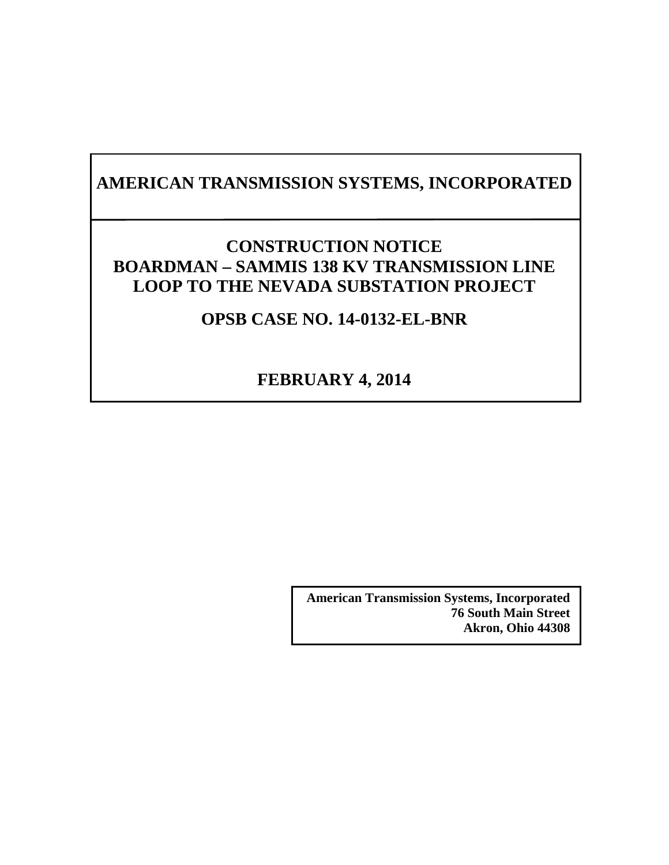# **AMERICAN TRANSMISSION SYSTEMS, INCORPORATED**

## **CONSTRUCTION NOTICE BOARDMAN – SAMMIS 138 KV TRANSMISSION LINE LOOP TO THE NEVADA SUBSTATION PROJECT**

## **OPSB CASE NO. 14-0132-EL-BNR**

## **FEBRUARY 4, 2014**

**American Transmission Systems, Incorporated 76 South Main Street Akron, Ohio 44308**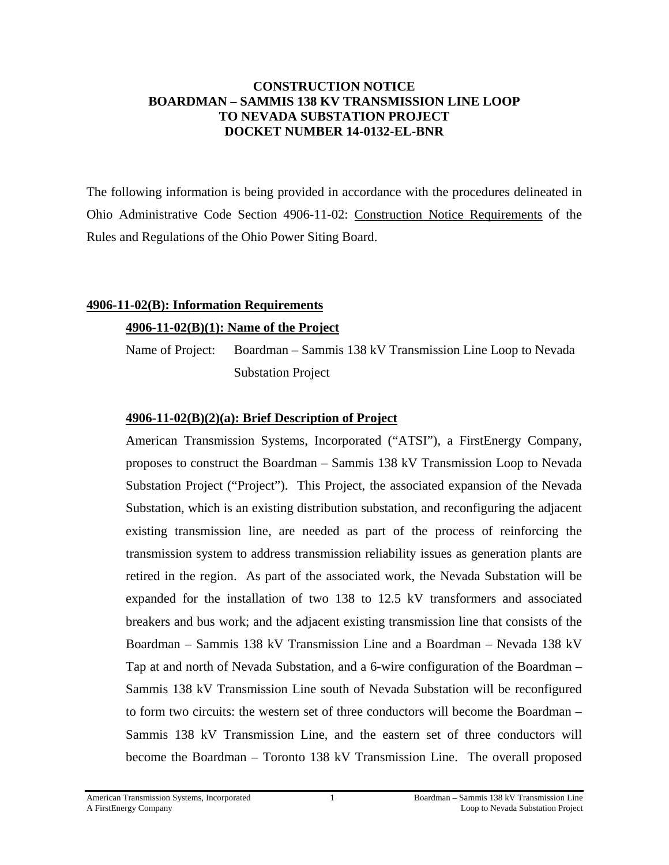## **CONSTRUCTION NOTICE BOARDMAN – SAMMIS 138 KV TRANSMISSION LINE LOOP TO NEVADA SUBSTATION PROJECT DOCKET NUMBER 14-0132-EL-BNR**

The following information is being provided in accordance with the procedures delineated in Ohio Administrative Code Section 4906-11-02: Construction Notice Requirements of the Rules and Regulations of the Ohio Power Siting Board.

## **4906-11-02(B): Information Requirements**

## **4906-11-02(B)(1): Name of the Project**

Name of Project: Boardman – Sammis 138 kV Transmission Line Loop to Nevada Substation Project

## **4906-11-02(B)(2)(a): Brief Description of Project**

American Transmission Systems, Incorporated ("ATSI"), a FirstEnergy Company, proposes to construct the Boardman – Sammis 138 kV Transmission Loop to Nevada Substation Project ("Project"). This Project, the associated expansion of the Nevada Substation, which is an existing distribution substation, and reconfiguring the adjacent existing transmission line, are needed as part of the process of reinforcing the transmission system to address transmission reliability issues as generation plants are retired in the region. As part of the associated work, the Nevada Substation will be expanded for the installation of two 138 to 12.5 kV transformers and associated breakers and bus work; and the adjacent existing transmission line that consists of the Boardman – Sammis 138 kV Transmission Line and a Boardman – Nevada 138 kV Tap at and north of Nevada Substation, and a 6-wire configuration of the Boardman – Sammis 138 kV Transmission Line south of Nevada Substation will be reconfigured to form two circuits: the western set of three conductors will become the Boardman – Sammis 138 kV Transmission Line, and the eastern set of three conductors will become the Boardman – Toronto 138 kV Transmission Line. The overall proposed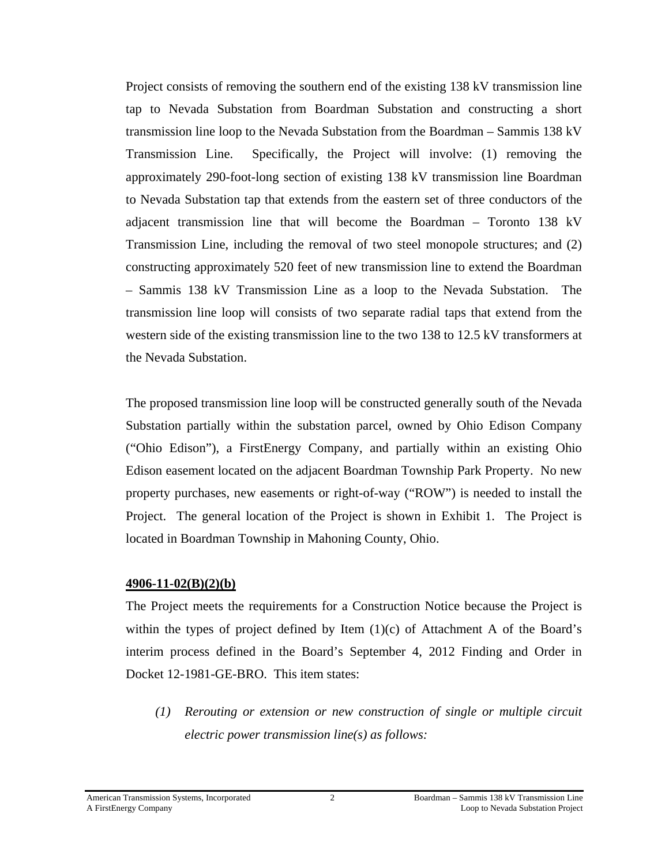Project consists of removing the southern end of the existing 138 kV transmission line tap to Nevada Substation from Boardman Substation and constructing a short transmission line loop to the Nevada Substation from the Boardman – Sammis 138 kV Transmission Line. Specifically, the Project will involve: (1) removing the approximately 290-foot-long section of existing 138 kV transmission line Boardman to Nevada Substation tap that extends from the eastern set of three conductors of the adjacent transmission line that will become the Boardman – Toronto 138 kV Transmission Line, including the removal of two steel monopole structures; and (2) constructing approximately 520 feet of new transmission line to extend the Boardman – Sammis 138 kV Transmission Line as a loop to the Nevada Substation. The transmission line loop will consists of two separate radial taps that extend from the western side of the existing transmission line to the two 138 to 12.5 kV transformers at the Nevada Substation.

The proposed transmission line loop will be constructed generally south of the Nevada Substation partially within the substation parcel, owned by Ohio Edison Company ("Ohio Edison"), a FirstEnergy Company, and partially within an existing Ohio Edison easement located on the adjacent Boardman Township Park Property. No new property purchases, new easements or right-of-way ("ROW") is needed to install the Project. The general location of the Project is shown in Exhibit 1. The Project is located in Boardman Township in Mahoning County, Ohio.

### **4906-11-02(B)(2)(b)**

The Project meets the requirements for a Construction Notice because the Project is within the types of project defined by Item  $(1)(c)$  of Attachment A of the Board's interim process defined in the Board's September 4, 2012 Finding and Order in Docket 12-1981-GE-BRO. This item states:

*(1) Rerouting or extension or new construction of single or multiple circuit electric power transmission line(s) as follows:*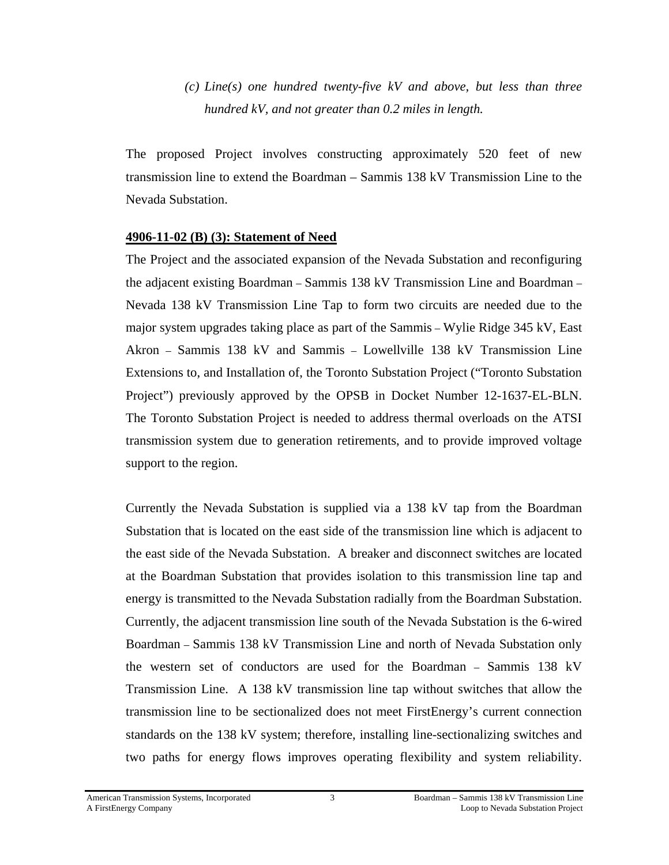*(c) Line(s) one hundred twenty-five kV and above, but less than three hundred kV, and not greater than 0.2 miles in length.* 

The proposed Project involves constructing approximately 520 feet of new transmission line to extend the Boardman – Sammis 138 kV Transmission Line to the Nevada Substation.

## **4906-11-02 (B) (3): Statement of Need**

The Project and the associated expansion of the Nevada Substation and reconfiguring the adjacent existing Boardman – Sammis 138 kV Transmission Line and Boardman – Nevada 138 kV Transmission Line Tap to form two circuits are needed due to the major system upgrades taking place as part of the Sammis – Wylie Ridge 345 kV, East Akron – Sammis 138 kV and Sammis – Lowellville 138 kV Transmission Line Extensions to, and Installation of, the Toronto Substation Project ("Toronto Substation Project") previously approved by the OPSB in Docket Number 12-1637-EL-BLN. The Toronto Substation Project is needed to address thermal overloads on the ATSI transmission system due to generation retirements, and to provide improved voltage support to the region.

Currently the Nevada Substation is supplied via a 138 kV tap from the Boardman Substation that is located on the east side of the transmission line which is adjacent to the east side of the Nevada Substation. A breaker and disconnect switches are located at the Boardman Substation that provides isolation to this transmission line tap and energy is transmitted to the Nevada Substation radially from the Boardman Substation. Currently, the adjacent transmission line south of the Nevada Substation is the 6-wired Boardman – Sammis 138 kV Transmission Line and north of Nevada Substation only the western set of conductors are used for the Boardman – Sammis 138 kV Transmission Line. A 138 kV transmission line tap without switches that allow the transmission line to be sectionalized does not meet FirstEnergy's current connection standards on the 138 kV system; therefore, installing line-sectionalizing switches and two paths for energy flows improves operating flexibility and system reliability.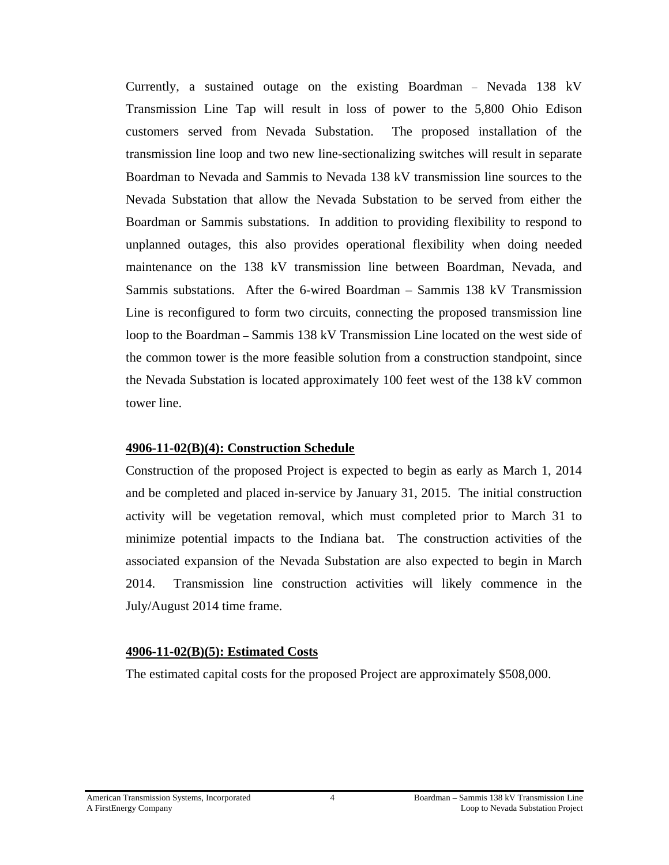Currently, a sustained outage on the existing Boardman – Nevada 138 kV Transmission Line Tap will result in loss of power to the 5,800 Ohio Edison customers served from Nevada Substation. The proposed installation of the transmission line loop and two new line-sectionalizing switches will result in separate Boardman to Nevada and Sammis to Nevada 138 kV transmission line sources to the Nevada Substation that allow the Nevada Substation to be served from either the Boardman or Sammis substations. In addition to providing flexibility to respond to unplanned outages, this also provides operational flexibility when doing needed maintenance on the 138 kV transmission line between Boardman, Nevada, and Sammis substations. After the 6-wired Boardman – Sammis 138 kV Transmission Line is reconfigured to form two circuits, connecting the proposed transmission line loop to the Boardman – Sammis 138 kV Transmission Line located on the west side of the common tower is the more feasible solution from a construction standpoint, since the Nevada Substation is located approximately 100 feet west of the 138 kV common tower line.

#### **4906-11-02(B)(4): Construction Schedule**

Construction of the proposed Project is expected to begin as early as March 1, 2014 and be completed and placed in-service by January 31, 2015. The initial construction activity will be vegetation removal, which must completed prior to March 31 to minimize potential impacts to the Indiana bat. The construction activities of the associated expansion of the Nevada Substation are also expected to begin in March 2014. Transmission line construction activities will likely commence in the July/August 2014 time frame.

#### **4906-11-02(B)(5): Estimated Costs**

The estimated capital costs for the proposed Project are approximately \$508,000.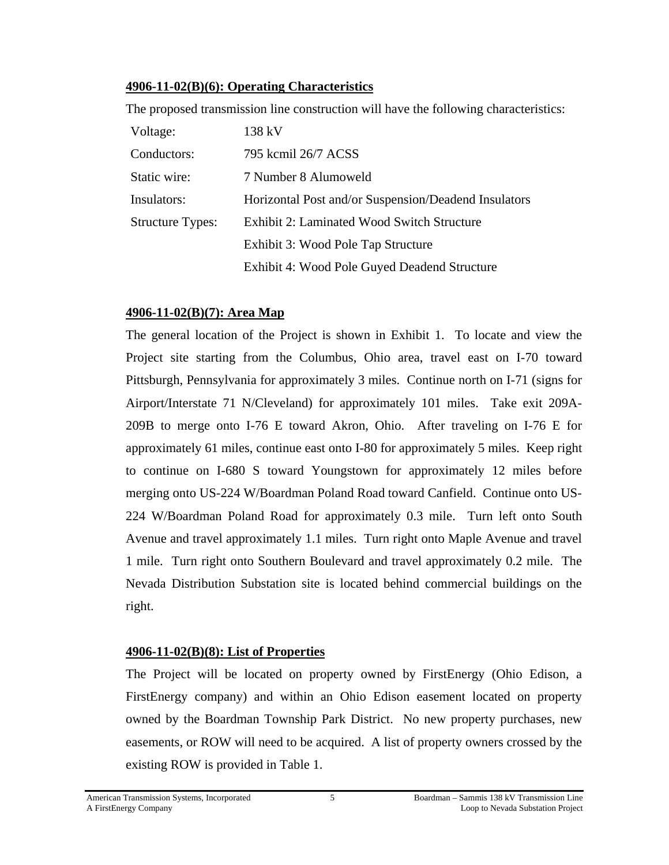## **4906-11-02(B)(6): Operating Characteristics**

The proposed transmission line construction will have the following characteristics:

| Voltage:                | 138 kV                                               |  |
|-------------------------|------------------------------------------------------|--|
| Conductors:             | 795 kcmil 26/7 ACSS                                  |  |
| Static wire:            | 7 Number 8 Alumoweld                                 |  |
| Insulators:             | Horizontal Post and/or Suspension/Deadend Insulators |  |
| <b>Structure Types:</b> | Exhibit 2: Laminated Wood Switch Structure           |  |
|                         | Exhibit 3: Wood Pole Tap Structure                   |  |
|                         | Exhibit 4: Wood Pole Guyed Deadend Structure         |  |

## **4906-11-02(B)(7): Area Map**

The general location of the Project is shown in Exhibit 1. To locate and view the Project site starting from the Columbus, Ohio area, travel east on I-70 toward Pittsburgh, Pennsylvania for approximately 3 miles. Continue north on I-71 (signs for Airport/Interstate 71 N/Cleveland) for approximately 101 miles. Take exit 209A-209B to merge onto I-76 E toward Akron, Ohio. After traveling on I-76 E for approximately 61 miles, continue east onto I-80 for approximately 5 miles. Keep right to continue on I-680 S toward Youngstown for approximately 12 miles before merging onto US-224 W/Boardman Poland Road toward Canfield. Continue onto US-224 W/Boardman Poland Road for approximately 0.3 mile. Turn left onto South Avenue and travel approximately 1.1 miles. Turn right onto Maple Avenue and travel 1 mile. Turn right onto Southern Boulevard and travel approximately 0.2 mile. The Nevada Distribution Substation site is located behind commercial buildings on the right.

## **4906-11-02(B)(8): List of Properties**

The Project will be located on property owned by FirstEnergy (Ohio Edison, a FirstEnergy company) and within an Ohio Edison easement located on property owned by the Boardman Township Park District. No new property purchases, new easements, or ROW will need to be acquired. A list of property owners crossed by the existing ROW is provided in Table 1.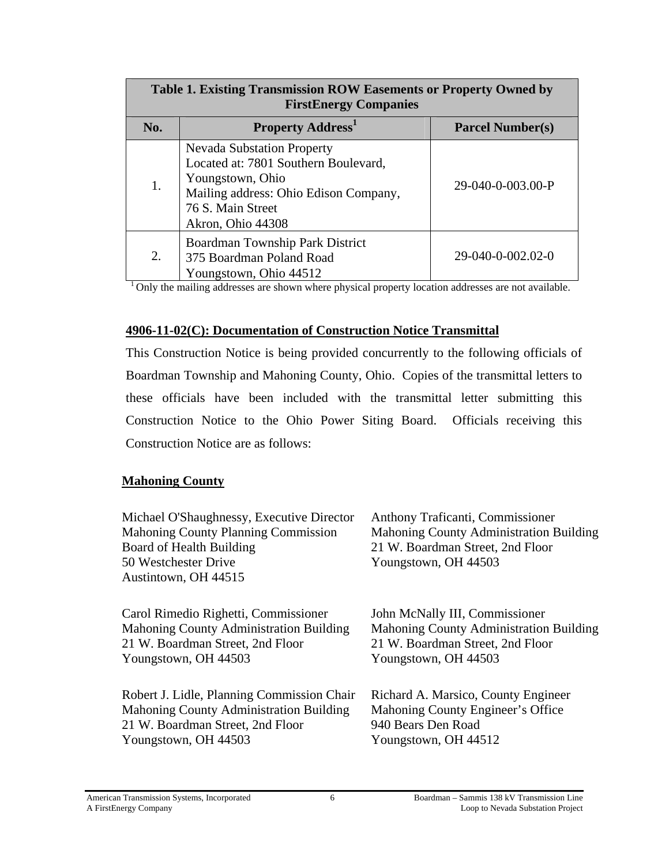| Table 1. Existing Transmission ROW Easements or Property Owned by<br><b>FirstEnergy Companies</b> |                                                                                                                                                                                  |                         |  |  |
|---------------------------------------------------------------------------------------------------|----------------------------------------------------------------------------------------------------------------------------------------------------------------------------------|-------------------------|--|--|
| No.                                                                                               | <b>Property Address</b>                                                                                                                                                          | <b>Parcel Number(s)</b> |  |  |
| 1.                                                                                                | <b>Nevada Substation Property</b><br>Located at: 7801 Southern Boulevard,<br>Youngstown, Ohio<br>Mailing address: Ohio Edison Company,<br>76 S. Main Street<br>Akron, Ohio 44308 | 29-040-0-003.00-P       |  |  |
| 2.                                                                                                | Boardman Township Park District<br>375 Boardman Poland Road<br>Youngstown, Ohio 44512                                                                                            | 29-040-0-002.02-0       |  |  |

<sup>1</sup> Only the mailing addresses are shown where physical property location addresses are not available.

## **4906-11-02(C): Documentation of Construction Notice Transmittal**

This Construction Notice is being provided concurrently to the following officials of Boardman Township and Mahoning County, Ohio. Copies of the transmittal letters to these officials have been included with the transmittal letter submitting this Construction Notice to the Ohio Power Siting Board. Officials receiving this Construction Notice are as follows:

## **Mahoning County**

| Michael O'Shaughnessy, Executive Director<br><b>Mahoning County Planning Commission</b><br>Board of Health Building<br>50 Westchester Drive<br>Austintown, OH 44515 | Anthony Traficanti, Commissioner<br>Mahoning County Administration Building<br>21 W. Boardman Street, 2nd Floor<br>Youngstown, OH 44503 |
|---------------------------------------------------------------------------------------------------------------------------------------------------------------------|-----------------------------------------------------------------------------------------------------------------------------------------|
| Carol Rimedio Righetti, Commissioner                                                                                                                                | John McNally III, Commissioner                                                                                                          |
| Mahoning County Administration Building                                                                                                                             | Mahoning County Administration Building                                                                                                 |
| 21 W. Boardman Street, 2nd Floor                                                                                                                                    | 21 W. Boardman Street, 2nd Floor                                                                                                        |
| Youngstown, OH 44503                                                                                                                                                | Youngstown, OH 44503                                                                                                                    |
| Robert J. Lidle, Planning Commission Chair                                                                                                                          | Richard A. Marsico, County Engineer                                                                                                     |
| <b>Mahoning County Administration Building</b>                                                                                                                      | Mahoning County Engineer's Office                                                                                                       |
| 21 W. Boardman Street, 2nd Floor                                                                                                                                    | 940 Bears Den Road                                                                                                                      |
| Youngstown, OH 44503                                                                                                                                                | Youngstown, OH 44512                                                                                                                    |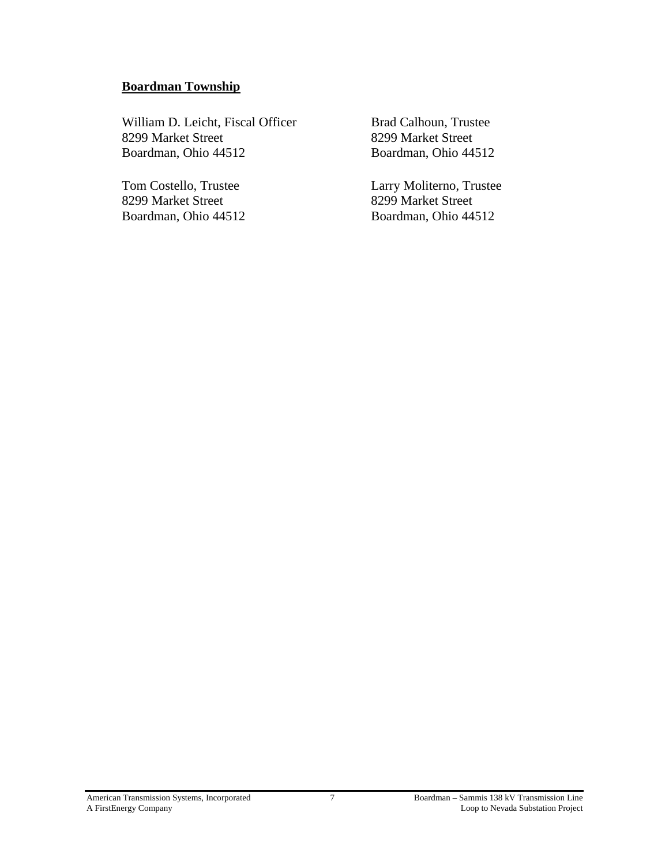## **Boardman Township**

William D. Leicht, Fiscal Officer 8299 Market Street Boardman, Ohio 44512

Tom Costello, Trustee 8299 Market Street Boardman, Ohio 44512 Brad Calhoun, Trustee 8299 Market Street Boardman, Ohio 44512

Larry Moliterno, Trustee 8299 Market Street Boardman, Ohio 44512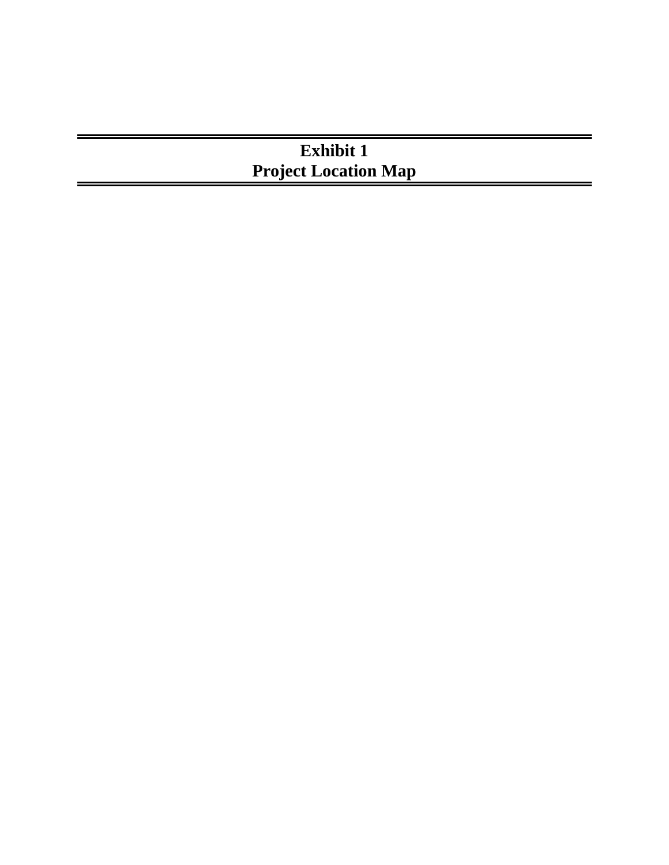# **Exhibit 1 Project Location Map**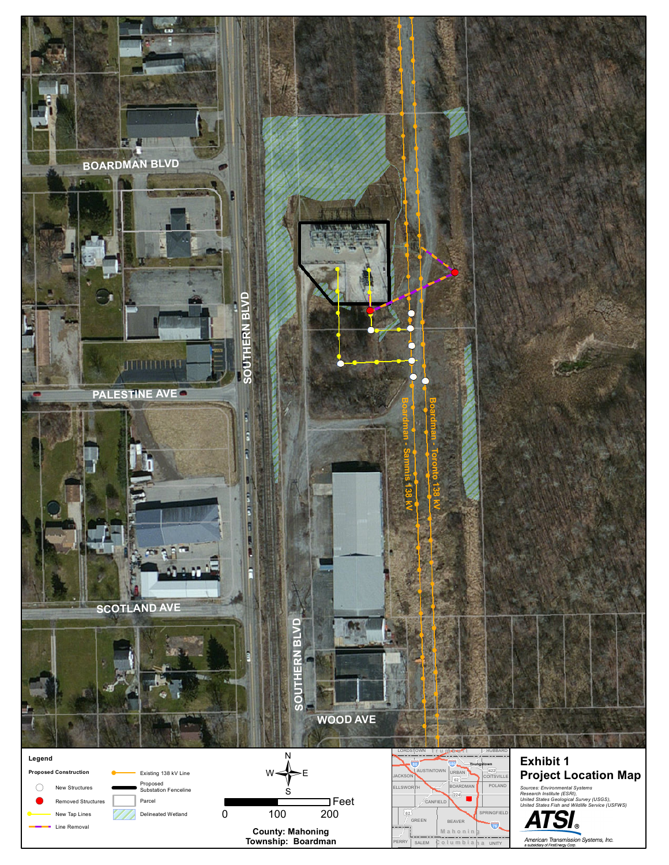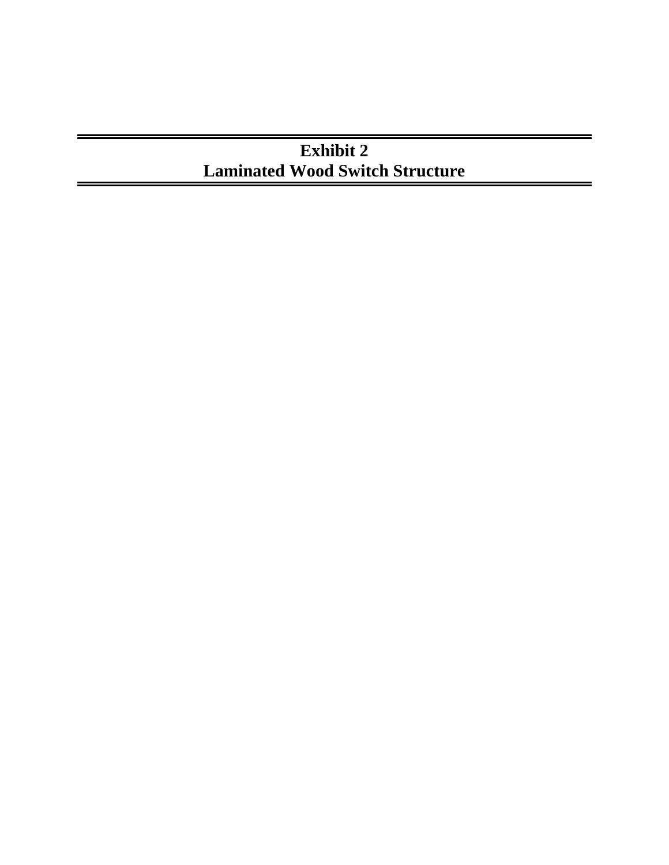# **Exhibit 2 Laminated Wood Switch Structure**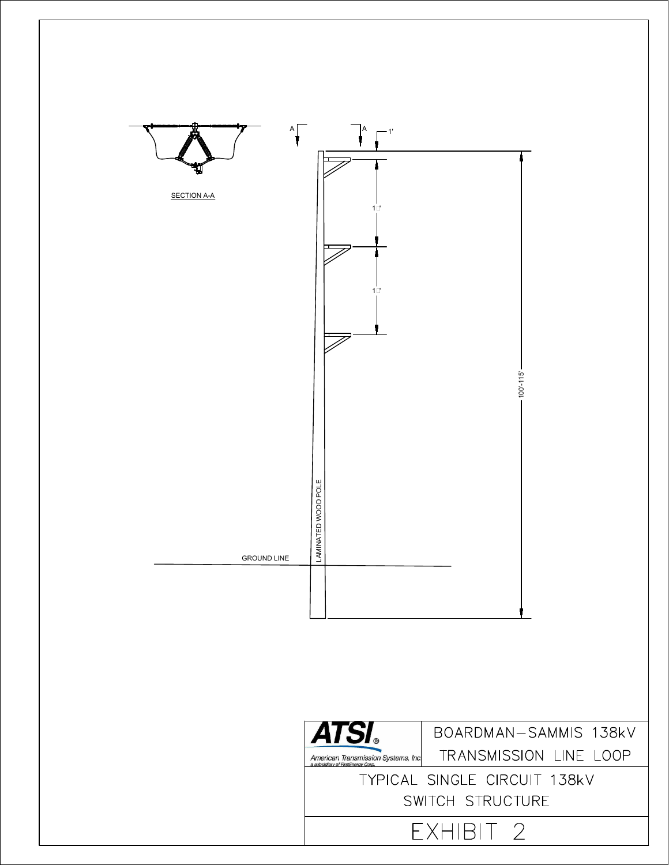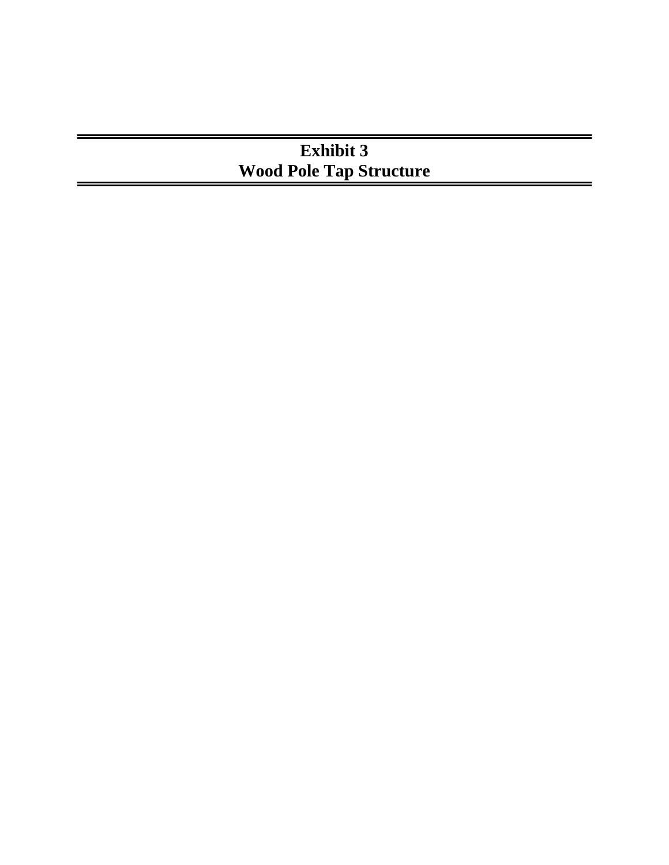# **Exhibit 3 Wood Pole Tap Structure**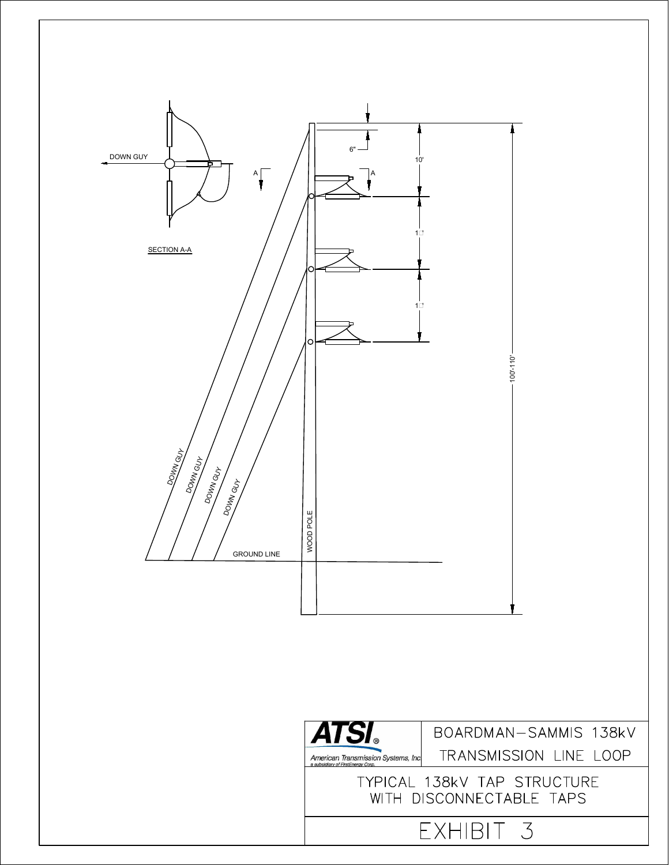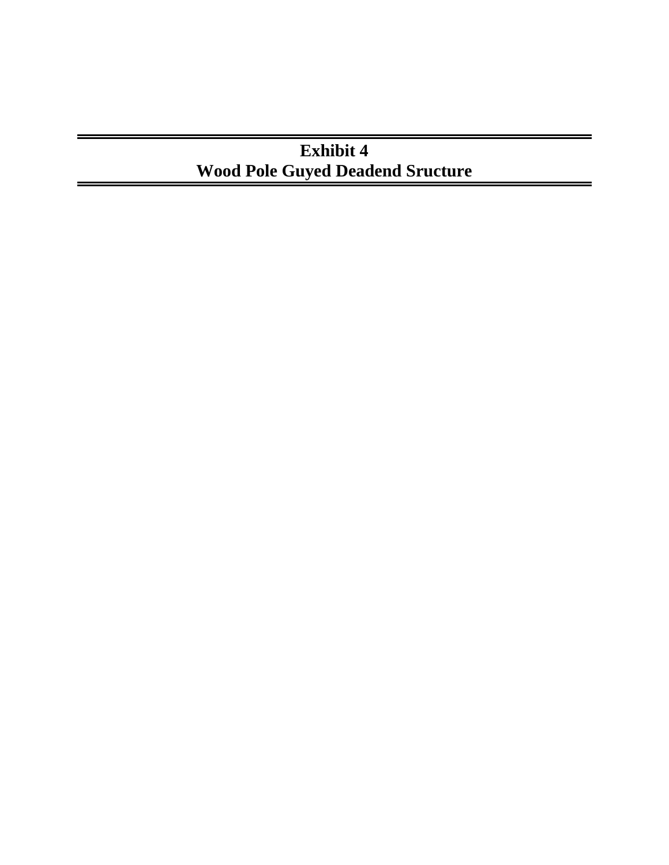# **Exhibit 4 Wood Pole Guyed Deadend Sructure**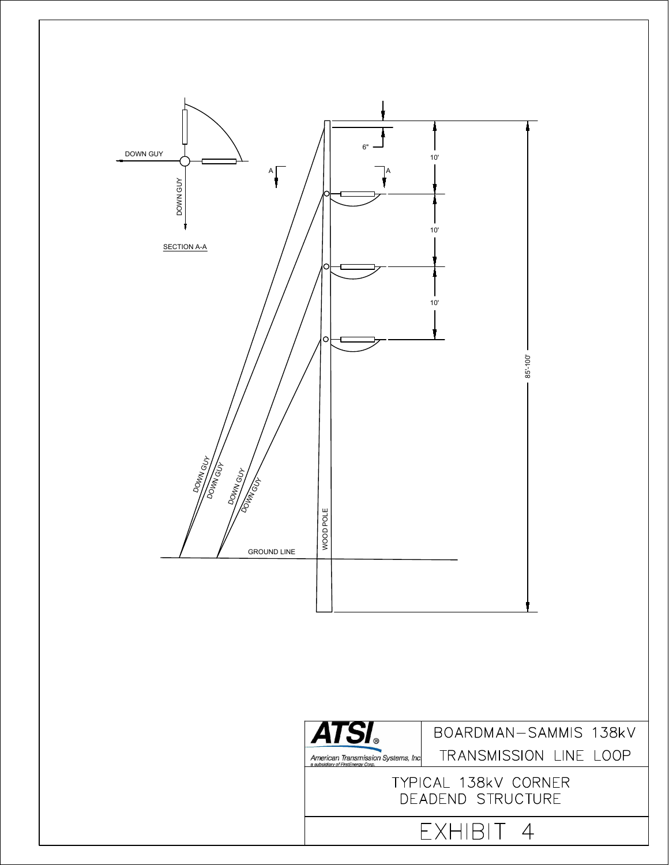